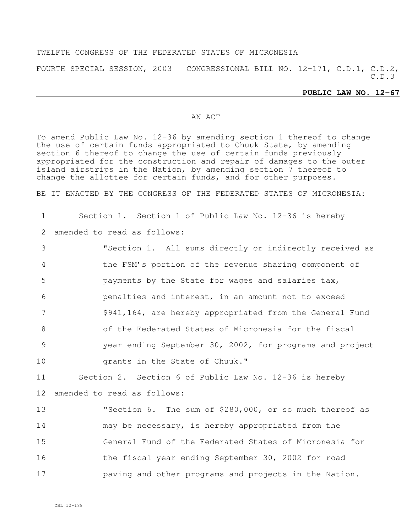## TWELFTH CONGRESS OF THE FEDERATED STATES OF MICRONESIA

FOURTH SPECIAL SESSION, 2003 CONGRESSIONAL BILL NO. 12-171, C.D.1, C.D.2, C.D.3

## **PUBLIC LAW NO. 12-67**

## AN ACT

To amend Public Law No. 12-36 by amending section 1 thereof to change the use of certain funds appropriated to Chuuk State, by amending section 6 thereof to change the use of certain funds previously appropriated for the construction and repair of damages to the outer island airstrips in the Nation, by amending section 7 thereof to change the allottee for certain funds, and for other purposes.

BE IT ENACTED BY THE CONGRESS OF THE FEDERATED STATES OF MICRONESIA:

1 Section 1. Section 1 of Public Law No. 12-36 is hereby

2 amended to read as follows:

 "Section 1. All sums directly or indirectly received as the FSM's portion of the revenue sharing component of payments by the State for wages and salaries tax, penalties and interest, in an amount not to exceed \$941,164, are hereby appropriated from the General Fund of the Federated States of Micronesia for the fiscal year ending September 30, 2002, for programs and project grants in the State of Chuuk." Section 2. Section 6 of Public Law No. 12-36 is hereby

12 amended to read as follows:

 "Section 6. The sum of \$280,000, or so much thereof as may be necessary, is hereby appropriated from the General Fund of the Federated States of Micronesia for 16 the fiscal year ending September 30, 2002 for road **paving and other programs and projects in the Nation.**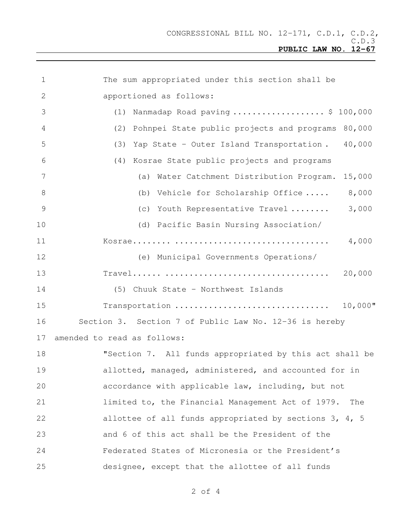| 1              | The sum appropriated under this section shall be          |
|----------------|-----------------------------------------------------------|
| $\mathbf{2}$   | apportioned as follows:                                   |
| 3              | Nanmadap Road paving  \$ 100,000<br>(1)                   |
| 4              | Pohnpei State public projects and programs 80,000<br>(2)  |
| 5              | 40,000<br>Yap State - Outer Island Transportation.<br>(3) |
| 6              | (4) Kosrae State public projects and programs             |
| 7              | (a) Water Catchment Distribution Program.<br>15,000       |
| 8              | 8,000<br>(b) Vehicle for Scholarship Office               |
| $\overline{9}$ | 3,000<br>(c) Youth Representative Travel                  |
| 10             | (d) Pacific Basin Nursing Association/                    |
| 11             | 4,000                                                     |
| 12             | (e) Municipal Governments Operations/                     |
| 13             | 20,000                                                    |
| 14             | (5) Chuuk State - Northwest Islands                       |
| 15             | $10,000$ "<br>Transportation                              |
| 16             | Section 3. Section 7 of Public Law No. 12-36 is hereby    |
| 17             | amended to read as follows:                               |
| 18             | "Section 7. All funds appropriated by this act shall be   |
| 19             | allotted, managed, administered, and accounted for in     |
| 20             | accordance with applicable law, including, but not        |
| 21             | limited to, the Financial Management Act of 1979.<br>The  |
| 22             | allottee of all funds appropriated by sections 3, 4, 5    |
| 23             | and 6 of this act shall be the President of the           |
| 24             | Federated States of Micronesia or the President's         |
| 25             | designee, except that the allottee of all funds           |

of 4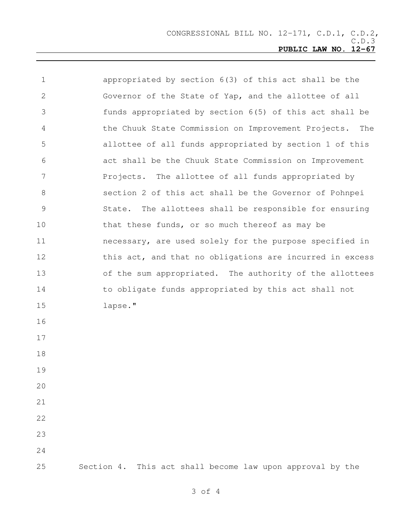| $\mathbf 1$    | appropriated by section 6(3) of this act shall be the     |
|----------------|-----------------------------------------------------------|
| 2              | Governor of the State of Yap, and the allottee of all     |
| 3              | funds appropriated by section 6(5) of this act shall be   |
| 4              | the Chuuk State Commission on Improvement Projects. The   |
| 5              | allottee of all funds appropriated by section 1 of this   |
| 6              | act shall be the Chuuk State Commission on Improvement    |
| 7              | Projects. The allottee of all funds appropriated by       |
| 8              | section 2 of this act shall be the Governor of Pohnpei    |
| $\overline{9}$ | State. The allottees shall be responsible for ensuring    |
| 10             | that these funds, or so much thereof as may be            |
| 11             | necessary, are used solely for the purpose specified in   |
| 12             | this act, and that no obligations are incurred in excess  |
| 13             | of the sum appropriated. The authority of the allottees   |
| 14             | to obligate funds appropriated by this act shall not      |
| 15             | lapse."                                                   |
| 16             |                                                           |
| 17             |                                                           |
| 18             |                                                           |
| 19             |                                                           |
| 20             |                                                           |
| 21             |                                                           |
| 22             |                                                           |
| 23             |                                                           |
| 24             |                                                           |
| 25             | Section 4. This act shall become law upon approval by the |